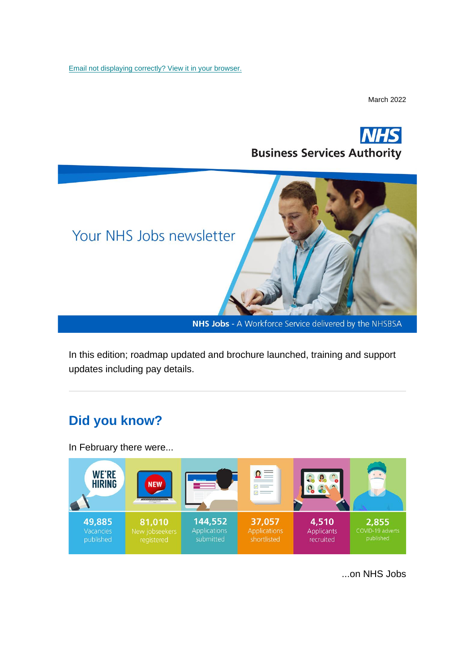[Email not displaying correctly? View it in your browser.](https://mailchi.mp/772159b8da2e/nhs-jobs-newsletter-may-1877069?e=%5bUNIQID%5d)

March 2022





NHS Jobs - A Workforce Service delivered by the NHSBSA

In this edition; roadmap updated and brochure launched, training and support updates including pay details.

## **Did you know?**

In February there were...



...on NHS Jobs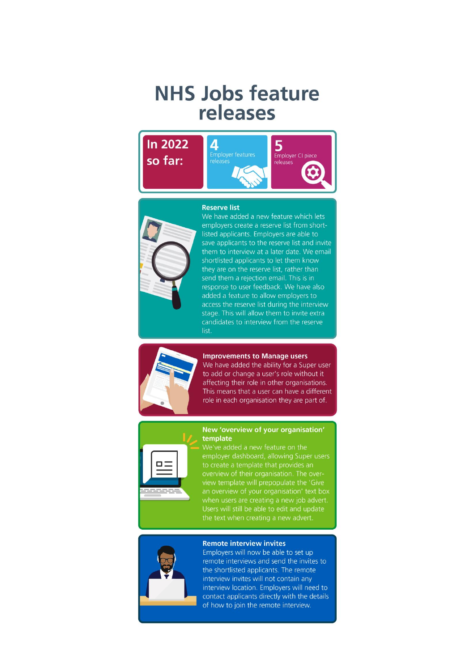# **NHS Jobs feature** releases



#### **Reserve list**



We have added a new feature which lets employers create a reserve list from shortlisted applicants. Employers are able to save applicants to the reserve list and invite them to interview at a later date. We email shortlisted applicants to let them know they are on the reserve list, rather than send them a rejection email. This is in response to user feedback. We have also added a feature to allow employers to access the reserve list during the interview stage. This will allow them to invite extra candidates to interview from the reserve list.



### **Improvements to Manage users**

We have added the ability for a Super user to add or change a user's role without it affecting their role in other organisations. This means that a user can have a different role in each organisation they are part of.



### New 'overview of your organisation' template

employer dashboard, allowing Super users to create a template that provides an view template will prepopulate the 'Give an overview of your organisation' text box when users are creating a new job advert. Users will still be able to edit and update



#### **Remote interview invites**

Employers will now be able to set up remote interviews and send the invites to the shortlisted applicants. The remote interview invites will not contain any interview location. Employers will need to contact applicants directly with the details of how to join the remote interview.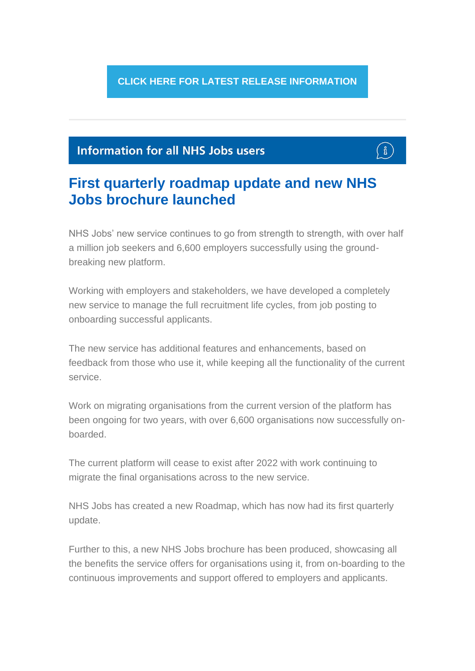**[CLICK HERE FOR LATEST RELEASE INFORMATION](https://www.nhsbsa.nhs.uk/new-nhs-jobs-service/help-and-support-employers)**

## **Information for all NHS Jobs users**

# ាំ

## **First quarterly roadmap update and new NHS Jobs brochure launched**

NHS Jobs' new service continues to go from strength to strength, with over half a million job seekers and 6,600 employers successfully using the groundbreaking new platform.

Working with employers and stakeholders, we have developed a completely new service to manage the full recruitment life cycles, from job posting to onboarding successful applicants.

The new service has additional features and enhancements, based on feedback from those who use it, while keeping all the functionality of the current service.

Work on migrating organisations from the current version of the platform has been ongoing for two years, with over 6,600 organisations now successfully onboarded.

The current platform will cease to exist after 2022 with work continuing to migrate the final organisations across to the new service.

NHS Jobs has created a new Roadmap, which has now had its first quarterly update.

Further to this, a new NHS Jobs brochure has been produced, showcasing all the benefits the service offers for organisations using it, from on-boarding to the continuous improvements and support offered to employers and applicants.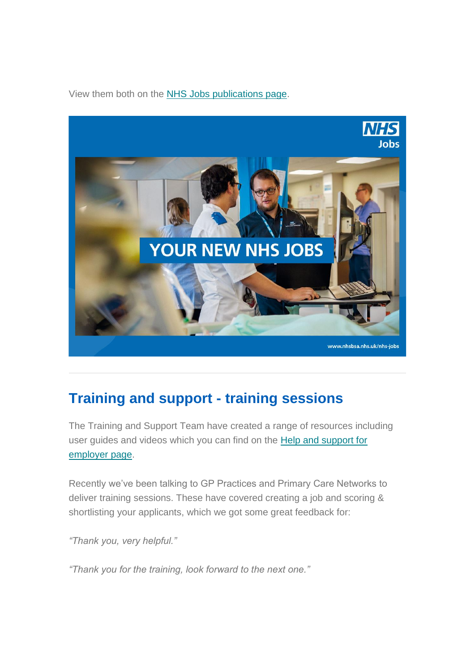View them both on the [NHS Jobs publications page.](https://www.nhsbsa.nhs.uk/nhs-jobs-publications)



## **Training and support - training sessions**

The Training and Support Team have created a range of resources including user guides and videos which you can find on the [Help and support for](https://www.nhsbsa.nhs.uk/new-nhs-jobs-service/help-and-support-employers)  [employer page.](https://www.nhsbsa.nhs.uk/new-nhs-jobs-service/help-and-support-employers)

Recently we've been talking to GP Practices and Primary Care Networks to deliver training sessions. These have covered creating a job and scoring & shortlisting your applicants, which we got some great feedback for:

*"Thank you, very helpful."*

*"Thank you for the training, look forward to the next one."*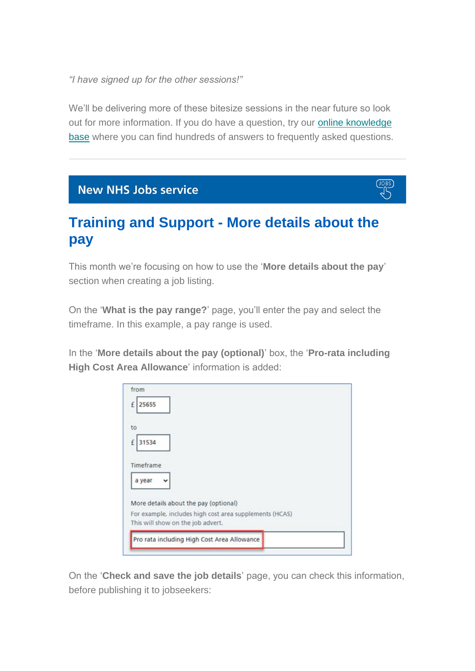*"I have signed up for the other sessions!"*

We'll be delivering more of these bitesize sessions in the near future so look out for more information. If you do have a question, try our [online knowledge](https://faq.nhsbsa.nhs.uk/knowledgebase/category/?articlecategory=NHS%20Jobs&id=CAT-04837&parentid=)  [base](https://faq.nhsbsa.nhs.uk/knowledgebase/category/?articlecategory=NHS%20Jobs&id=CAT-04837&parentid=) where you can find hundreds of answers to frequently asked questions.

## **New NHS Jobs service**

## **Training and Support - More details about the pay**

This month we're focusing on how to use the '**More details about the pay**' section when creating a job listing.

On the '**What is the pay range?**' page, you'll enter the pay and select the timeframe. In this example, a pay range is used.

In the '**More details about the pay (optional)**' box, the '**Pro-rata including High Cost Area Allowance**' information is added:

| 25655<br>£  |                                                         |  |  |
|-------------|---------------------------------------------------------|--|--|
|             |                                                         |  |  |
| to          |                                                         |  |  |
| 31534<br>£  |                                                         |  |  |
|             |                                                         |  |  |
| Timeframe   |                                                         |  |  |
|             |                                                         |  |  |
| a year<br>v |                                                         |  |  |
|             |                                                         |  |  |
|             | More details about the pay (optional)                   |  |  |
|             | For example, includes high cost area supplements (HCAS) |  |  |
|             | This will show on the job advert.                       |  |  |
|             |                                                         |  |  |

On the '**Check and save the job details**' page, you can check this information, before publishing it to jobseekers: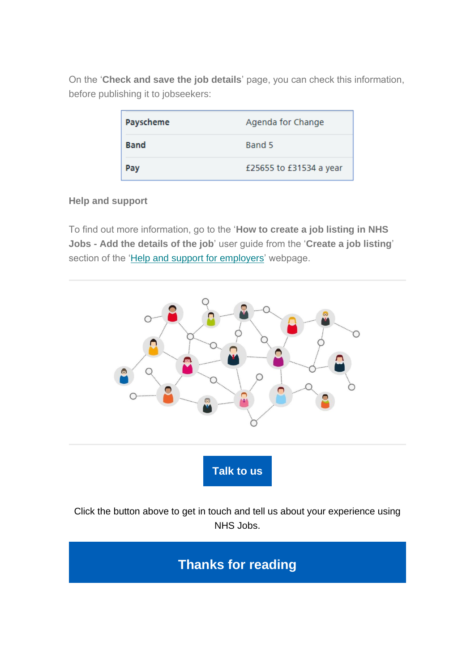On the '**Check and save the job details**' page, you can check this information, before publishing it to jobseekers:

| Payscheme   | Agenda for Change       |
|-------------|-------------------------|
| <b>Band</b> | Band 5                  |
| Pav         | £25655 to £31534 a year |

### **Help and support**

To find out more information, go to the '**How to create a job listing in NHS Jobs - Add the details of the job**' user guide from the '**Create a job listing**' section of the ['Help and support for employers'](https://www.nhsbsa.nhs.uk/new-nhs-jobs-service/help-and-support-employers) webpage.



### Click the button above to get in touch and tell us about your experience using NHS Jobs.